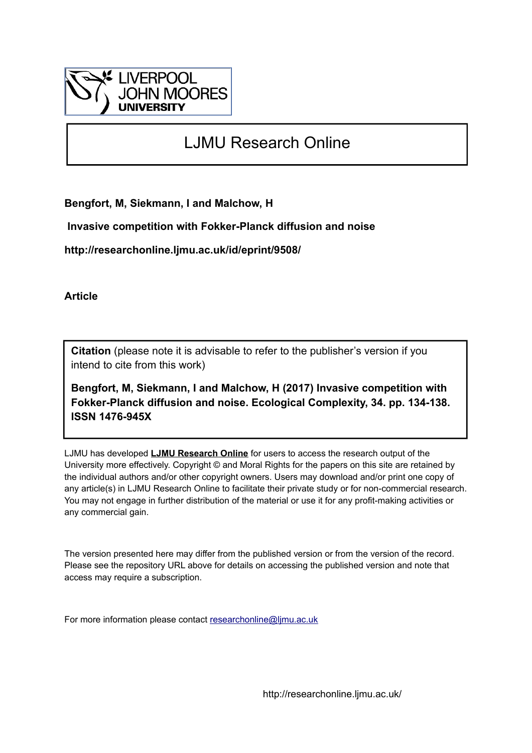

# LJMU Research Online

**Bengfort, M, Siekmann, I and Malchow, H**

 **Invasive competition with Fokker-Planck diffusion and noise**

**http://researchonline.ljmu.ac.uk/id/eprint/9508/**

**Article**

**Citation** (please note it is advisable to refer to the publisher's version if you intend to cite from this work)

**Bengfort, M, Siekmann, I and Malchow, H (2017) Invasive competition with Fokker-Planck diffusion and noise. Ecological Complexity, 34. pp. 134-138. ISSN 1476-945X** 

LJMU has developed **[LJMU Research Online](http://researchonline.ljmu.ac.uk/)** for users to access the research output of the University more effectively. Copyright © and Moral Rights for the papers on this site are retained by the individual authors and/or other copyright owners. Users may download and/or print one copy of any article(s) in LJMU Research Online to facilitate their private study or for non-commercial research. You may not engage in further distribution of the material or use it for any profit-making activities or any commercial gain.

The version presented here may differ from the published version or from the version of the record. Please see the repository URL above for details on accessing the published version and note that access may require a subscription.

For more information please contact [researchonline@ljmu.ac.uk](mailto:researchonline@ljmu.ac.uk)

http://researchonline.ljmu.ac.uk/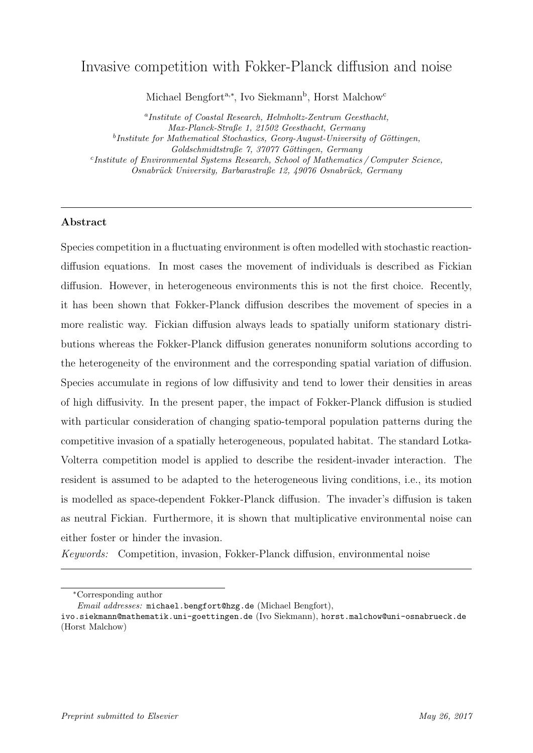## Invasive competition with Fokker-Planck diffusion and noise

Michael Bengfort<sup>a,\*</sup>, Ivo Siekmann<sup>b</sup>, Horst Malchow<sup>c</sup>

a Institute of Coastal Research, Helmholtz-Zentrum Geesthacht, Max-Planck-Straße 1, 21502 Geesthacht, Germany <sup>b</sup>Institute for Mathematical Stochastics, Georg-August-University of Göttingen,  $Goldschmidtstraße 7, 37077 Göttingen, Germany$ c Institute of Environmental Systems Research, School of Mathematics / Computer Science, Osnabrück University, Barbarastraße 12, 49076 Osnabrück, Germany

### Abstract

Species competition in a fluctuating environment is often modelled with stochastic reactiondiffusion equations. In most cases the movement of individuals is described as Fickian diffusion. However, in heterogeneous environments this is not the first choice. Recently, it has been shown that Fokker-Planck diffusion describes the movement of species in a more realistic way. Fickian diffusion always leads to spatially uniform stationary distributions whereas the Fokker-Planck diffusion generates nonuniform solutions according to the heterogeneity of the environment and the corresponding spatial variation of diffusion. Species accumulate in regions of low diffusivity and tend to lower their densities in areas of high diffusivity. In the present paper, the impact of Fokker-Planck diffusion is studied with particular consideration of changing spatio-temporal population patterns during the competitive invasion of a spatially heterogeneous, populated habitat. The standard Lotka-Volterra competition model is applied to describe the resident-invader interaction. The resident is assumed to be adapted to the heterogeneous living conditions, i.e., its motion is modelled as space-dependent Fokker-Planck diffusion. The invader's diffusion is taken as neutral Fickian. Furthermore, it is shown that multiplicative environmental noise can either foster or hinder the invasion.

Keywords: Competition, invasion, Fokker-Planck diffusion, environmental noise

<sup>∗</sup>Corresponding author

Email addresses: michael.bengfort@hzg.de (Michael Bengfort),

ivo.siekmann@mathematik.uni-goettingen.de (Ivo Siekmann), horst.malchow@uni-osnabrueck.de (Horst Malchow)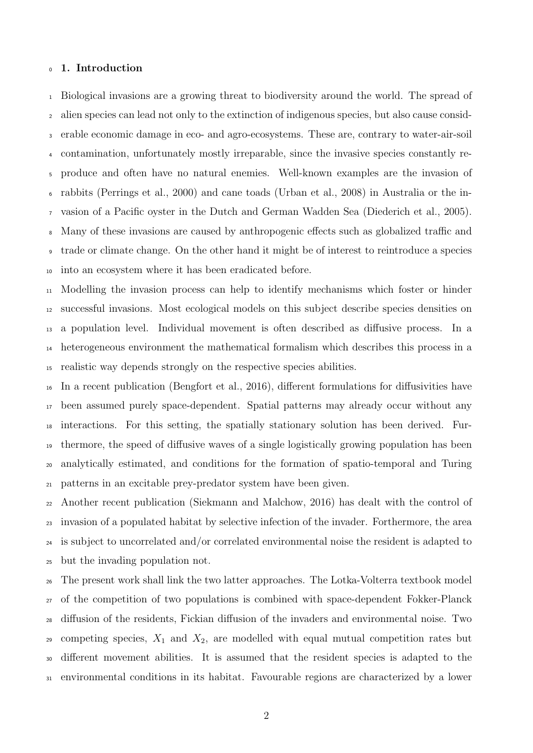#### 1. Introduction

 Biological invasions are a growing threat to biodiversity around the world. The spread of alien species can lead not only to the extinction of indigenous species, but also cause consid- erable economic damage in eco- and agro-ecosystems. These are, contrary to water-air-soil contamination, unfortunately mostly irreparable, since the invasive species constantly re- produce and often have no natural enemies. Well-known examples are the invasion of rabbits [\(Perrings et al., 2000\)](#page-13-0) and cane toads [\(Urban et al., 2008\)](#page-13-1) in Australia or the in- vasion of a Pacific oyster in the Dutch and German Wadden Sea [\(Diederich et al., 2005\)](#page-12-0). Many of these invasions are caused by anthropogenic effects such as globalized traffic and trade or climate change. On the other hand it might be of interest to reintroduce a species into an ecosystem where it has been eradicated before.

 Modelling the invasion process can help to identify mechanisms which foster or hinder successful invasions. Most ecological models on this subject describe species densities on a population level. Individual movement is often described as diffusive process. In a heterogeneous environment the mathematical formalism which describes this process in a realistic way depends strongly on the respective species abilities.

 In a recent publication [\(Bengfort et al., 2016\)](#page-11-0), different formulations for diffusivities have been assumed purely space-dependent. Spatial patterns may already occur without any interactions. For this setting, the spatially stationary solution has been derived. Fur- thermore, the speed of diffusive waves of a single logistically growing population has been analytically estimated, and conditions for the formation of spatio-temporal and Turing patterns in an excitable prey-predator system have been given.

 Another recent publication [\(Siekmann and Malchow, 2016\)](#page-13-2) has dealt with the control of invasion of a populated habitat by selective infection of the invader. Forthermore, the area is subject to uncorrelated and/or correlated environmental noise the resident is adapted to but the invading population not.

 The present work shall link the two latter approaches. The Lotka-Volterra textbook model of the competition of two populations is combined with space-dependent Fokker-Planck diffusion of the residents, Fickian diffusion of the invaders and environmental noise. Two 29 competing species,  $X_1$  and  $X_2$ , are modelled with equal mutual competition rates but different movement abilities. It is assumed that the resident species is adapted to the environmental conditions in its habitat. Favourable regions are characterized by a lower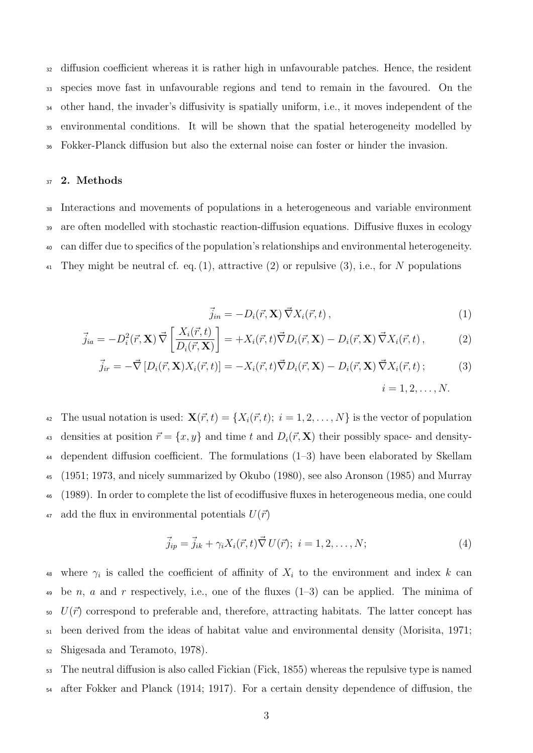diffusion coefficient whereas it is rather high in unfavourable patches. Hence, the resident species move fast in unfavourable regions and tend to remain in the favoured. On the other hand, the invader's diffusivity is spatially uniform, i.e., it moves independent of the environmental conditions. It will be shown that the spatial heterogeneity modelled by Fokker-Planck diffusion but also the external noise can foster or hinder the invasion.

#### 37 2. Methods

 Interactions and movements of populations in a heterogeneous and variable environment are often modelled with stochastic reaction-diffusion equations. Diffusive fluxes in ecology can differ due to specifics of the population's relationships and environmental heterogeneity.  $_{41}$  They might be neutral cf. eq. [\(1\)](#page-3-0), attractive [\(2\)](#page-3-1) or repulsive [\(3\)](#page-3-2), i.e., for N populations

<span id="page-3-2"></span><span id="page-3-1"></span><span id="page-3-0"></span>
$$
\vec{j}_{in} = -D_i(\vec{r}, \mathbf{X}) \vec{\nabla} X_i(\vec{r}, t) , \qquad (1)
$$

$$
\vec{j}_{ia} = -D_i^2(\vec{r}, \mathbf{X}) \vec{\nabla} \left[ \frac{X_i(\vec{r}, t)}{D_i(\vec{r}, \mathbf{X})} \right] = +X_i(\vec{r}, t) \vec{\nabla} D_i(\vec{r}, \mathbf{X}) - D_i(\vec{r}, \mathbf{X}) \vec{\nabla} X_i(\vec{r}, t) , \tag{2}
$$

$$
\vec{j}_{ir} = -\vec{\nabla} \left[ D_i(\vec{r}, \mathbf{X}) X_i(\vec{r}, t) \right] = -X_i(\vec{r}, t) \vec{\nabla} D_i(\vec{r}, \mathbf{X}) - D_i(\vec{r}, \mathbf{X}) \vec{\nabla} X_i(\vec{r}, t) ; \tag{3}
$$
\n
$$
i = 1, 2, \dots, N.
$$

42 The usual notation is used:  $\mathbf{X}(\vec{r}, t) = \{X_i(\vec{r}, t); i = 1, 2, \dots, N\}$  is the vector of population 43 densities at position  $\vec{r} = \{x, y\}$  and time t and  $D_i(\vec{r}, \mathbf{X})$  their possibly space- and density-<sup>44</sup> dependent diffusion coefficient. The formulations [\(1–](#page-3-0)[3\)](#page-3-2) have been elaborated by [Skellam](#page-13-3) <sup>45</sup> [\(1951;](#page-13-3) [1973,](#page-13-4) and nicely summarized by [Okubo](#page-12-1) [\(1980\)](#page-12-1), see also [Aronson](#page-11-1) [\(1985\)](#page-11-1) and [Murray](#page-12-2) <sup>46</sup> [\(1989\)](#page-12-2). In order to complete the list of ecodiffusive fluxes in heterogeneous media, one could 47 add the flux in environmental potentials  $U(\vec{r})$ 

$$
\vec{j}_{ip} = \vec{j}_{ik} + \gamma_i X_i(\vec{r}, t) \vec{\nabla} U(\vec{r}); \quad i = 1, 2, \dots, N; \tag{4}
$$

<sup>48</sup> where  $\gamma_i$  is called the coefficient of affinity of  $X_i$  to the environment and index k can 49 be n, a and r respectively, i.e., one of the fluxes  $(1-3)$  $(1-3)$  can be applied. The minima of  $U(\vec{r})$  correspond to preferable and, therefore, attracting habitats. The latter concept has <sup>51</sup> been derived from the ideas of habitat value and environmental density [\(Morisita, 1971;](#page-12-3) <sup>52</sup> [Shigesada and Teramoto, 1978\)](#page-13-5).

<sup>53</sup> The neutral diffusion is also called Fickian [\(Fick, 1855\)](#page-12-4) whereas the repulsive type is named <sup>54</sup> after Fokker and Planck [\(1914;](#page-12-5) [1917\)](#page-13-6). For a certain density dependence of diffusion, the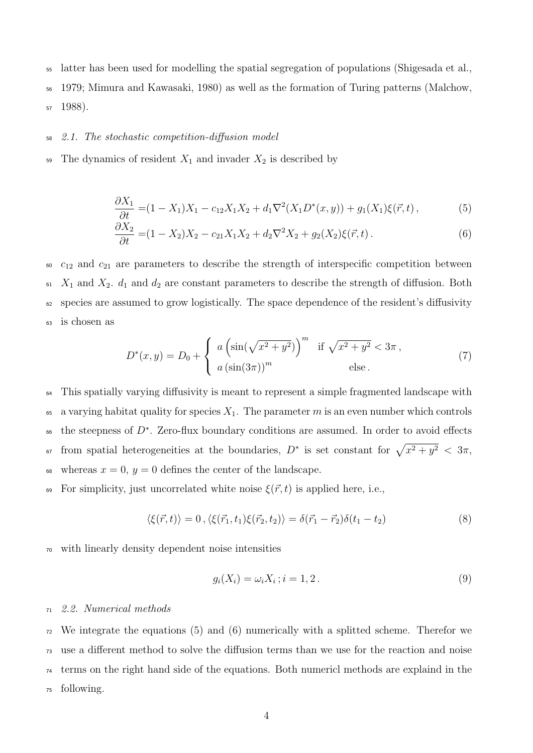<sup>55</sup> latter has been used for modelling the spatial segregation of populations [\(Shigesada et al.,](#page-13-7)

<sup>56</sup> [1979;](#page-13-7) [Mimura and Kawasaki, 1980\)](#page-12-6) as well as the formation of Turing patterns [\(Malchow,](#page-12-7)

<sup>57</sup> [1988\)](#page-12-7).

#### <sup>58</sup> 2.1. The stochastic competition-diffusion model

59 The dynamics of resident  $X_1$  and invader  $X_2$  is described by

<span id="page-4-0"></span>
$$
\frac{\partial X_1}{\partial t} = (1 - X_1)X_1 - c_{12}X_1X_2 + d_1\nabla^2(X_1D^*(x, y)) + g_1(X_1)\xi(\vec{r}, t),
$$
\n(5)

<span id="page-4-1"></span>
$$
\frac{\partial X_2}{\partial t} = (1 - X_2)X_2 - c_{21}X_1X_2 + d_2\nabla^2 X_2 + g_2(X_2)\xi(\vec{r}, t).
$$
\n(6)

  $c_{12}$  and  $c_{21}$  are parameters to describe the strength of interspecific competition between  $K_1$  and  $X_2$ .  $d_1$  and  $d_2$  are constant parameters to describe the strength of diffusion. Both species are assumed to grow logistically. The space dependence of the resident's diffusivity is chosen as

<span id="page-4-4"></span>
$$
D^{*}(x, y) = D_0 + \begin{cases} a \left(\sin(\sqrt{x^2 + y^2})\right)^m & \text{if } \sqrt{x^2 + y^2} < 3\pi, \\ a \left(\sin(3\pi)\right)^m & \text{else.} \end{cases}
$$
(7)

<sup>64</sup> This spatially varying diffusivity is meant to represent a simple fragmented landscape with 65 a varying habitat quality for species  $X_1$ . The parameter m is an even number which controls  $\epsilon$ 6 the steepness of  $D^*$ . Zero-flux boundary conditions are assumed. In order to avoid effects <sup>67</sup> from spatial heterogeneities at the boundaries,  $D^*$  is set constant for  $\sqrt{x^2 + y^2} < 3\pi$ , 68 whereas  $x = 0$ ,  $y = 0$  defines the center of the landscape.

69 For simplicity, just uncorrelated white noise  $\xi(\vec{r},t)$  is applied here, i.e.,

$$
\langle \xi(\vec{r},t) \rangle = 0, \langle \xi(\vec{r}_1,t_1)\xi(\vec{r}_2,t_2) \rangle = \delta(\vec{r}_1 - \vec{r}_2)\delta(t_1 - t_2)
$$
\n(8)

<sup>70</sup> with linearly density dependent noise intensities

<span id="page-4-3"></span><span id="page-4-2"></span>
$$
g_i(X_i) = \omega_i X_i; i = 1, 2.
$$
\n
$$
(9)
$$

#### <sup>71</sup> 2.2. Numerical methods

 We integrate the equations [\(5\)](#page-4-0) and [\(6\)](#page-4-1) numerically with a splitted scheme. Therefor we use a different method to solve the diffusion terms than we use for the reaction and noise terms on the right hand side of the equations. Both numericl methods are explaind in the following.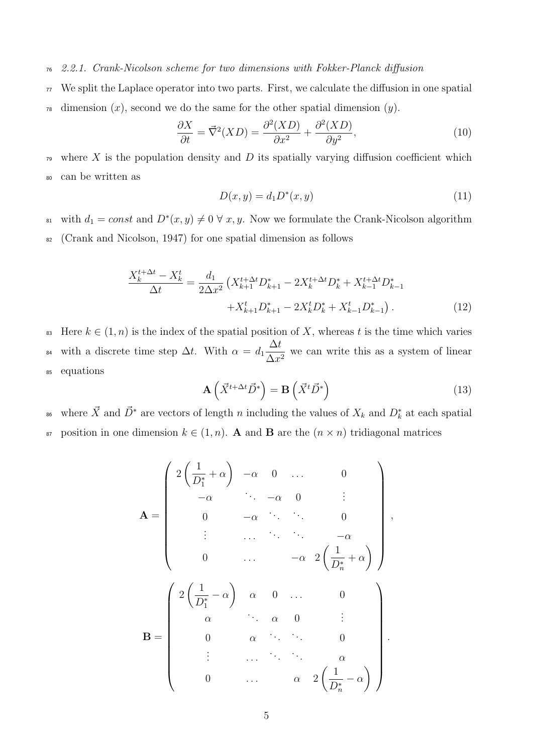#### <sup>76</sup> 2.2.1. Crank-Nicolson scheme for two dimensions with Fokker-Planck diffusion

<sup>77</sup> We split the Laplace operator into two parts. First, we calculate the diffusion in one spatial  $\tau$ <sup>8</sup> dimension  $(x)$ , second we do the same for the other spatial dimension  $(y)$ .

$$
\frac{\partial X}{\partial t} = \vec{\nabla}^2 (XD) = \frac{\partial^2 (XD)}{\partial x^2} + \frac{\partial^2 (XD)}{\partial y^2},\tag{10}
$$

<sup>79</sup> where X is the population density and D its spatially varying diffusion coefficient which <sup>80</sup> can be written as

$$
D(x, y) = d_1 D^*(x, y)
$$
\n(11)

<sup>81</sup> with  $d_1 = const$  and  $D^*(x, y) \neq 0 \ \forall x, y$ . Now we formulate the Crank-Nicolson algorithm <sup>82</sup> [\(Crank and Nicolson, 1947\)](#page-11-2) for one spatial dimension as follows

$$
\frac{X_k^{t+\Delta t} - X_k^t}{\Delta t} = \frac{d_1}{2\Delta x^2} \left( X_{k+1}^{t+\Delta t} D_{k+1}^* - 2X_k^{t+\Delta t} D_k^* + X_{k-1}^{t+\Delta t} D_{k-1}^* + X_{k+1}^t D_{k+1}^* - 2X_k^t D_k^* + X_{k-1}^t D_{k-1}^* \right).
$$
\n(12)

83 Here  $k \in (1, n)$  is the index of the spatial position of X, whereas t is the time which varies with a discrete time step  $\Delta t$ . With  $\alpha = d_1$  $\Delta t$ <sup>84</sup> with a discrete time step  $\Delta t$ . With  $\alpha = d_1 \frac{\Delta t}{\Delta x^2}$  we can write this as a system of linear <sup>85</sup> equations

$$
\mathbf{A}\left(\vec{X}^{t+\Delta t}\vec{D}^*\right) = \mathbf{B}\left(\vec{X}^t\vec{D}^*\right) \tag{13}
$$

<sup>86</sup> where  $\vec{X}$  and  $\vec{D}^*$  are vectors of length n including the values of  $X_k$  and  $D_k^*$  at each spatial 87 position in one dimension  $k \in (1, n)$ . A and B are the  $(n \times n)$  tridiagonal matrices

$$
\mathbf{A} = \begin{pmatrix} 2\left(\frac{1}{D_1^*} + \alpha\right) & -\alpha & 0 & \cdots & 0 \\ -\alpha & \ddots & -\alpha & 0 & \vdots \\ 0 & -\alpha & \ddots & 0 & \vdots \\ \vdots & \ddots & \ddots & \ddots & -\alpha \\ 0 & \cdots & -\alpha & 2\left(\frac{1}{D_n^*} + \alpha\right) \end{pmatrix},
$$

$$
\mathbf{B} = \begin{pmatrix} 2\left(\frac{1}{D_1^*} - \alpha\right) & \alpha & 0 & \cdots & 0 \\ \alpha & \ddots & \alpha & 0 & \vdots \\ 0 & \alpha & \ddots & \ddots & 0 \\ \vdots & \ddots & \ddots & \ddots & \alpha \\ 0 & \cdots & \alpha & 2\left(\frac{1}{D_n^*} - \alpha\right) \end{pmatrix}.
$$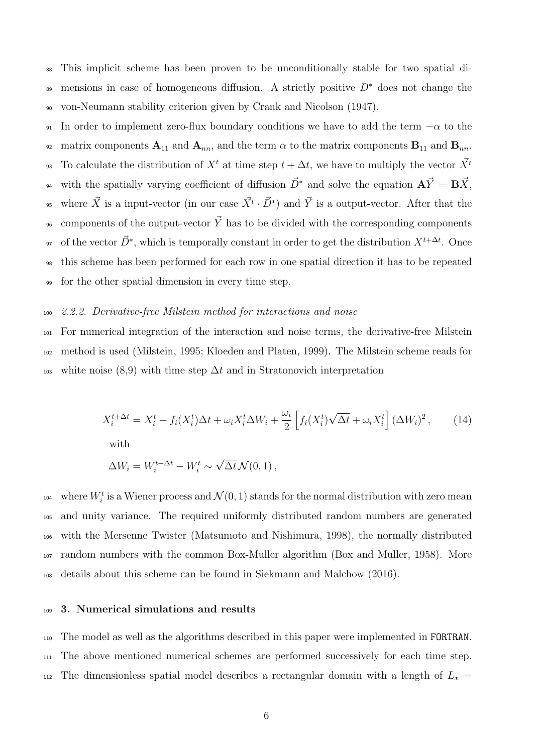<sup>88</sup> This implicit scheme has been proven to be unconditionally stable for two spatial dis mensions in case of homogeneous diffusion. A strictly positive  $D^*$  does not change the <sup>90</sup> von-Neumann stability criterion given by [Crank and Nicolson](#page-11-2) [\(1947\)](#page-11-2).

91 In order to implement zero-flux boundary conditions we have to add the term  $-\alpha$  to the 92 matrix components  $A_{11}$  and  $A_{nn}$ , and the term  $\alpha$  to the matrix components  $B_{11}$  and  $B_{nn}$ . To calculate the distribution of  $X<sup>t</sup>$  at time step  $t + \Delta t$ , we have to multiply the vector  $\vec{X}$ <sup>t</sup>  $9<sup>3</sup>$ with the spatially varying coefficient of diffusion  $\vec{D}^*$  and solve the equation  ${\bf A}\vec{Y} = {\bf B}\vec{X}$ , <sup>95</sup> where  $\vec{X}$  is a input-vector (in our case  $\vec{X}^t \cdot \vec{D}^*$ ) and  $\vec{Y}$  is a output-vector. After that the <sup>96</sup> components of the output-vector  $\vec{Y}$  has to be divided with the corresponding components of the vector  $\vec{D}^*$ , which is temporally constant in order to get the distribution  $X^{t + \Delta t}$ . Once <sup>98</sup> this scheme has been performed for each row in one spatial direction it has to be repeated <sup>99</sup> for the other spatial dimension in every time step.

#### <sup>100</sup> 2.2.2. Derivative-free Milstein method for interactions and noise

<sup>101</sup> For numerical integration of the interaction and noise terms, the derivative-free Milstein <sup>102</sup> method is used [\(Milstein, 1995;](#page-12-8) [Kloeden and Platen, 1999\)](#page-12-9). The Milstein scheme reads for 103 white noise [\(8,](#page-4-2)[9\)](#page-4-3) with time step  $\Delta t$  and in Stratonovich interpretation

$$
X_i^{t + \Delta t} = X_i^t + f_i(X_i^t)\Delta t + \omega_i X_i^t \Delta W_i + \frac{\omega_i}{2} \left[ f_i(X_i^t) \sqrt{\Delta t} + \omega_i X_i^t \right] (\Delta W_i)^2, \tag{14}
$$
  
with

$$
\Delta W_i = W_i^{t + \Delta t} - W_i^t \sim \sqrt{\Delta t} \mathcal{N}(0, 1) ,
$$

<sup>104</sup> where  $W_i^t$  is a Wiener process and  $\mathcal{N}(0, 1)$  stands for the normal distribution with zero mean and unity variance. The required uniformly distributed random numbers are generated with the Mersenne Twister [\(Matsumoto and Nishimura, 1998\)](#page-12-10), the normally distributed random numbers with the common Box-Muller algorithm [\(Box and Muller, 1958\)](#page-11-3). More details about this scheme can be found in [Siekmann and Malchow](#page-13-2) [\(2016\)](#page-13-2).

#### <sup>109</sup> 3. Numerical simulations and results

<sup>110</sup> The model as well as the algorithms described in this paper were implemented in FORTRAN. <sup>111</sup> The above mentioned numerical schemes are performed successively for each time step. 112 The dimensionless spatial model describes a rectangular domain with a length of  $L_x$  =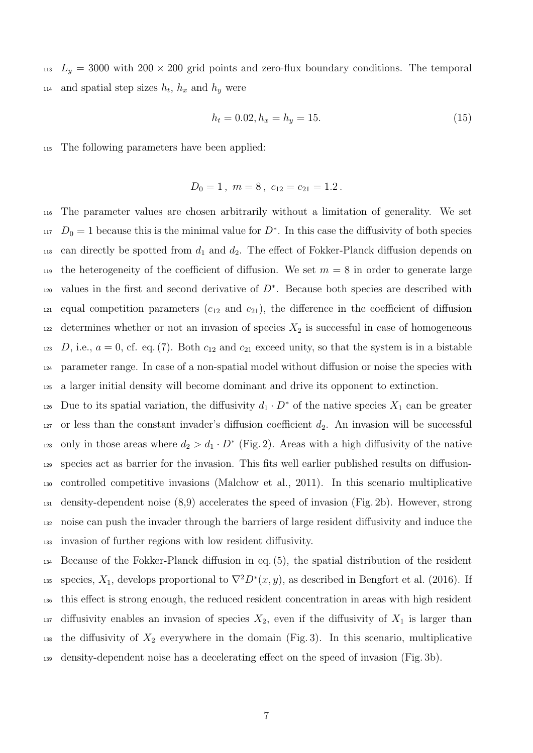<sup>113</sup>  $L_y = 3000$  with  $200 \times 200$  grid points and zero-flux boundary conditions. The temporal  $n_{14}$  and spatial step sizes  $h_t$ ,  $h_x$  and  $h_y$  were

$$
h_t = 0.02, h_x = h_y = 15.
$$
\n<sup>(15)</sup>

<sup>115</sup> The following parameters have been applied:

$$
D_0 = 1, \ m = 8, \ c_{12} = c_{21} = 1.2.
$$

<sup>116</sup> The parameter values are chosen arbitrarily without a limitation of generality. We set  $D_0 = 1$  because this is the minimal value for  $D^*$ . In this case the diffusivity of both species 118 can directly be spotted from  $d_1$  and  $d_2$ . The effect of Fokker-Planck diffusion depends on 119 the heterogeneity of the coefficient of diffusion. We set  $m = 8$  in order to generate large values in the first and second derivative of  $D^*$ . Because both species are described with <sup>121</sup> equal competition parameters  $(c_{12}$  and  $c_{21}$ ), the difference in the coefficient of diffusion  $122$  determines whether or not an invasion of species  $X_2$  is successful in case of homogeneous 123 D, i.e.,  $a = 0$ , cf. eq. [\(7\)](#page-4-4). Both  $c_{12}$  and  $c_{21}$  exceed unity, so that the system is in a bistable <sup>124</sup> parameter range. In case of a non-spatial model without diffusion or noise the species with <sup>125</sup> a larger initial density will become dominant and drive its opponent to extinction.

126 Due to its spatial variation, the diffusivity  $d_1 \cdot D^*$  of the native species  $X_1$  can be greater or less than the constant invader's diffusion coefficient  $d_2$ . An invasion will be successful <sup>128</sup> only in those areas where  $d_2 > d_1 \cdot D^*$  (Fig. [2\)](#page-8-0). Areas with a high diffusivity of the native species act as barrier for the invasion. This fits well earlier published results on diffusion- controlled competitive invasions [\(Malchow et al., 2011\)](#page-12-11). In this scenario multiplicative density-dependent noise [\(8](#page-4-2)[,9\)](#page-4-3) accelerates the speed of invasion (Fig. [2b](#page-8-0)). However, strong noise can push the invader through the barriers of large resident diffusivity and induce the invasion of further regions with low resident diffusivity.

<sup>134</sup> Because of the Fokker-Planck diffusion in eq. [\(5\)](#page-4-0), the spatial distribution of the resident 135 species,  $X_1$ , develops proportional to  $\nabla^2 D^*(x, y)$ , as described in [Bengfort et al.](#page-11-0) [\(2016\)](#page-11-0). If <sup>136</sup> this effect is strong enough, the reduced resident concentration in areas with high resident 137 diffusivity enables an invasion of species  $X_2$ , even if the diffusivity of  $X_1$  is larger than 138 the diffusivity of  $X_2$  everywhere in the domain (Fig. [3\)](#page-9-0). In this scenario, multiplicative <sup>139</sup> density-dependent noise has a decelerating effect on the speed of invasion (Fig. [3b](#page-9-0)).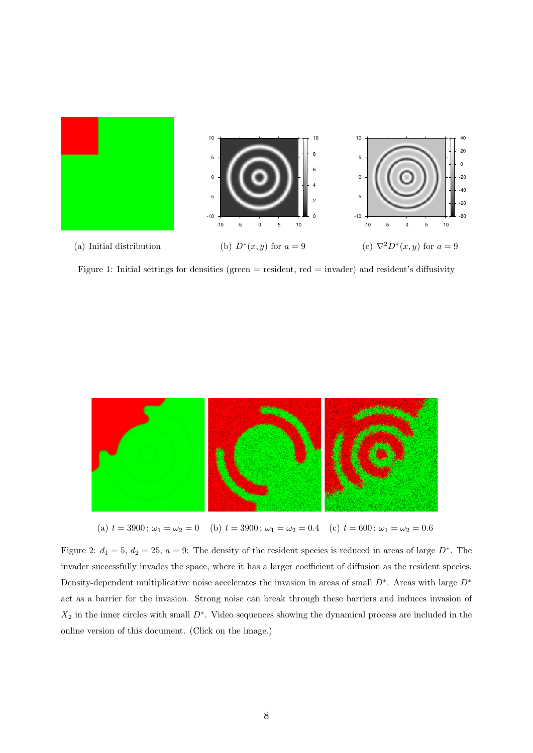

Figure 1: Initial settings for densities (green  $=$  resident, red  $=$  invader) and resident's diffusivity



<span id="page-8-0"></span>(a)  $t = 3900$ ;  $\omega_1 = \omega_2 = 0$  (b)  $t = 3900$ ;  $\omega_1 = \omega_2 = 0.4$  (c)  $t = 600$ ;  $\omega_1 = \omega_2 = 0.6$ 

Figure 2:  $d_1 = 5$ ,  $d_2 = 25$ ,  $a = 9$ : The density of the resident species is reduced in areas of large  $D^*$ . The invader successfully invades the space, where it has a larger coefficient of diffusion as the resident species. Density-dependent multiplicative noise accelerates the invasion in areas of small  $D^*$ . Areas with large  $D^*$ act as a barrier for the invasion. Strong noise can break through these barriers and induces invasion of  $X_2$  in the inner circles with small  $D^*$ . Video sequences showing the dynamical process are included in the online version of this document. (Click on the image.)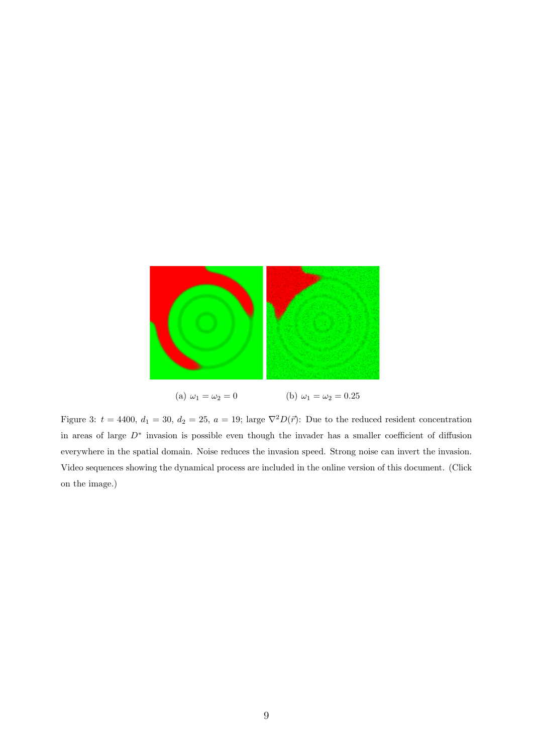<span id="page-9-0"></span>

Figure 3:  $t = 4400$ ,  $d_1 = 30$ ,  $d_2 = 25$ ,  $a = 19$ ; large  $\nabla^2 D(\vec{r})$ : Due to the reduced resident concentration in areas of large D<sup>∗</sup> invasion is possible even though the invader has a smaller coefficient of diffusion everywhere in the spatial domain. Noise reduces the invasion speed. Strong noise can invert the invasion. Video sequences showing the dynamical process are included in the online version of this document. (Click on the image.)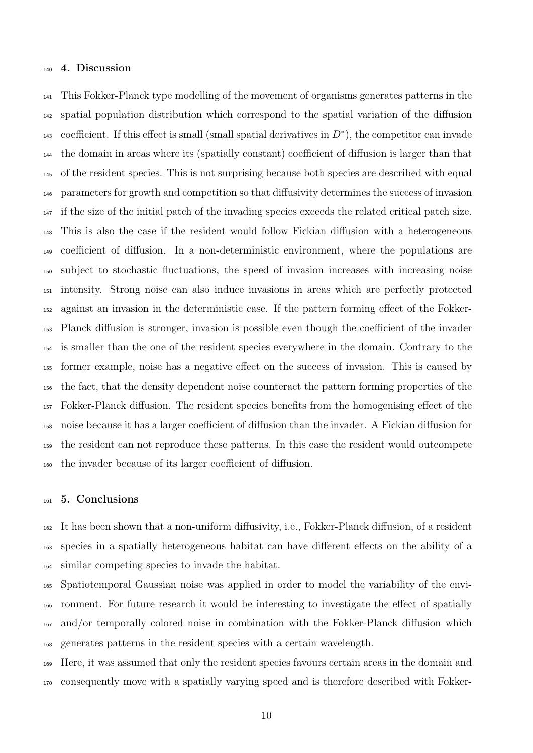#### 4. Discussion

 This Fokker-Planck type modelling of the movement of organisms generates patterns in the spatial population distribution which correspond to the spatial variation of the diffusion 143 coefficient. If this effect is small (small spatial derivatives in  $D^*$ ), the competitor can invade the domain in areas where its (spatially constant) coefficient of diffusion is larger than that of the resident species. This is not surprising because both species are described with equal parameters for growth and competition so that diffusivity determines the success of invasion if the size of the initial patch of the invading species exceeds the related critical patch size. This is also the case if the resident would follow Fickian diffusion with a heterogeneous coefficient of diffusion. In a non-deterministic environment, where the populations are subject to stochastic fluctuations, the speed of invasion increases with increasing noise intensity. Strong noise can also induce invasions in areas which are perfectly protected against an invasion in the deterministic case. If the pattern forming effect of the Fokker- Planck diffusion is stronger, invasion is possible even though the coefficient of the invader is smaller than the one of the resident species everywhere in the domain. Contrary to the former example, noise has a negative effect on the success of invasion. This is caused by the fact, that the density dependent noise counteract the pattern forming properties of the Fokker-Planck diffusion. The resident species benefits from the homogenising effect of the noise because it has a larger coefficient of diffusion than the invader. A Fickian diffusion for the resident can not reproduce these patterns. In this case the resident would outcompete the invader because of its larger coefficient of diffusion.

#### 5. Conclusions

 It has been shown that a non-uniform diffusivity, i.e., Fokker-Planck diffusion, of a resident species in a spatially heterogeneous habitat can have different effects on the ability of a similar competing species to invade the habitat.

 Spatiotemporal Gaussian noise was applied in order to model the variability of the envi- ronment. For future research it would be interesting to investigate the effect of spatially and/or temporally colored noise in combination with the Fokker-Planck diffusion which generates patterns in the resident species with a certain wavelength.

 Here, it was assumed that only the resident species favours certain areas in the domain and consequently move with a spatially varying speed and is therefore described with Fokker-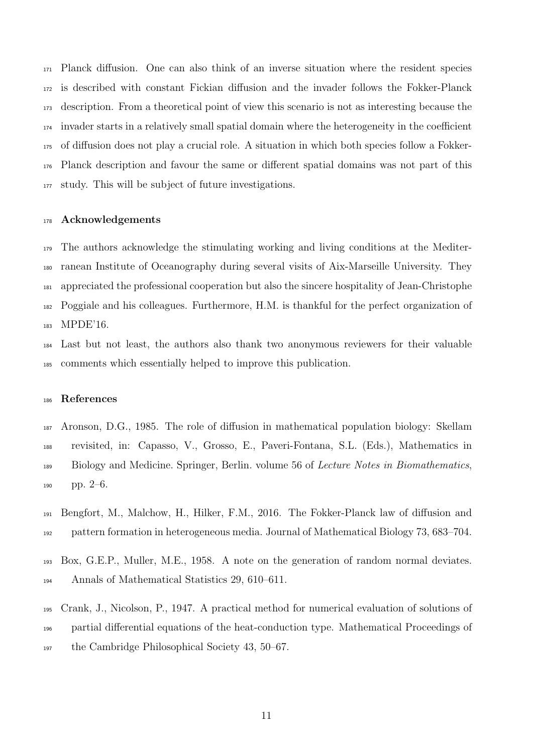Planck diffusion. One can also think of an inverse situation where the resident species is described with constant Fickian diffusion and the invader follows the Fokker-Planck description. From a theoretical point of view this scenario is not as interesting because the invader starts in a relatively small spatial domain where the heterogeneity in the coefficient of diffusion does not play a crucial role. A situation in which both species follow a Fokker- Planck description and favour the same or different spatial domains was not part of this study. This will be subject of future investigations.

#### 178 Acknowledgements

 The authors acknowledge the stimulating working and living conditions at the Mediter- ranean Institute of Oceanography during several visits of Aix-Marseille University. They appreciated the professional cooperation but also the sincere hospitality of Jean-Christophe Poggiale and his colleagues. Furthermore, H.M. is thankful for the perfect organization of 183 MPDE'16.

 Last but not least, the authors also thank two anonymous reviewers for their valuable comments which essentially helped to improve this publication.

#### References

<span id="page-11-1"></span> Aronson, D.G., 1985. The role of diffusion in mathematical population biology: Skellam revisited, in: Capasso, V., Grosso, E., Paveri-Fontana, S.L. (Eds.), Mathematics in <sup>189</sup> Biology and Medicine. Springer, Berlin. volume 56 of *Lecture Notes in Biomathematics*, pp. 2–6.

- <span id="page-11-0"></span> Bengfort, M., Malchow, H., Hilker, F.M., 2016. The Fokker-Planck law of diffusion and pattern formation in heterogeneous media. Journal of Mathematical Biology 73, 683–704.
- <span id="page-11-3"></span> Box, G.E.P., Muller, M.E., 1958. A note on the generation of random normal deviates. Annals of Mathematical Statistics 29, 610–611.
- <span id="page-11-2"></span> Crank, J., Nicolson, P., 1947. A practical method for numerical evaluation of solutions of partial differential equations of the heat-conduction type. Mathematical Proceedings of the Cambridge Philosophical Society 43, 50–67.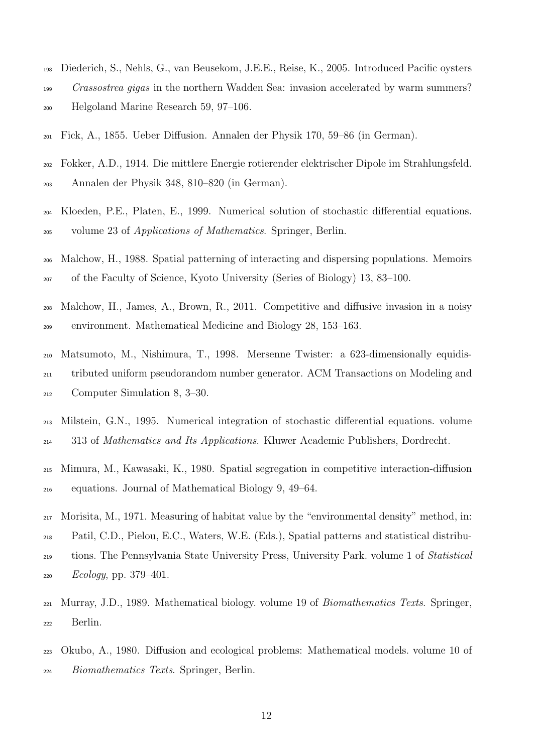- <span id="page-12-0"></span> Diederich, S., Nehls, G., van Beusekom, J.E.E., Reise, K., 2005. Introduced Pacific oysters Crassostrea gigas in the northern Wadden Sea: invasion accelerated by warm summers? Helgoland Marine Research 59, 97–106.
- <span id="page-12-4"></span>Fick, A., 1855. Ueber Diffusion. Annalen der Physik 170, 59–86 (in German).
- <span id="page-12-5"></span> Fokker, A.D., 1914. Die mittlere Energie rotierender elektrischer Dipole im Strahlungsfeld. Annalen der Physik 348, 810–820 (in German).
- <span id="page-12-9"></span> Kloeden, P.E., Platen, E., 1999. Numerical solution of stochastic differential equations. volume 23 of Applications of Mathematics. Springer, Berlin.
- <span id="page-12-7"></span> Malchow, H., 1988. Spatial patterning of interacting and dispersing populations. Memoirs of the Faculty of Science, Kyoto University (Series of Biology) 13, 83–100.
- <span id="page-12-11"></span> Malchow, H., James, A., Brown, R., 2011. Competitive and diffusive invasion in a noisy environment. Mathematical Medicine and Biology 28, 153–163.
- <span id="page-12-10"></span> Matsumoto, M., Nishimura, T., 1998. Mersenne Twister: a 623-dimensionally equidis- tributed uniform pseudorandom number generator. ACM Transactions on Modeling and Computer Simulation 8, 3–30.
- <span id="page-12-8"></span> Milstein, G.N., 1995. Numerical integration of stochastic differential equations. volume 313 of Mathematics and Its Applications. Kluwer Academic Publishers, Dordrecht.
- <span id="page-12-6"></span> Mimura, M., Kawasaki, K., 1980. Spatial segregation in competitive interaction-diffusion equations. Journal of Mathematical Biology 9, 49–64.
- <span id="page-12-3"></span> Morisita, M., 1971. Measuring of habitat value by the "environmental density" method, in: Patil, C.D., Pielou, E.C., Waters, W.E. (Eds.), Spatial patterns and statistical distribu- tions. The Pennsylvania State University Press, University Park. volume 1 of Statistical *Ecology*, pp. 379–401.
- <span id="page-12-2"></span> Murray, J.D., 1989. Mathematical biology. volume 19 of Biomathematics Texts. Springer, Berlin.
- <span id="page-12-1"></span> Okubo, A., 1980. Diffusion and ecological problems: Mathematical models. volume 10 of Biomathematics Texts. Springer, Berlin.